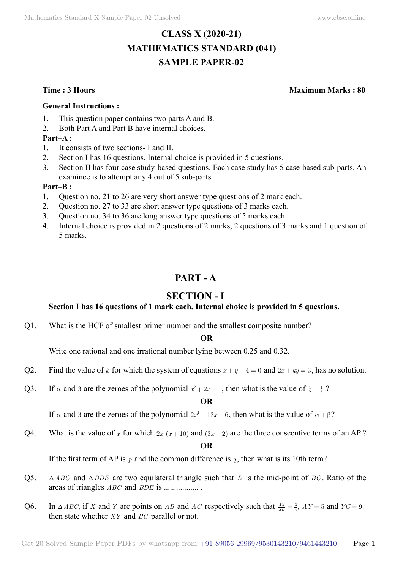# **CLASS X (2020-21) MATHEMATICS STANDARD (041) SAMPLE PAPER-02**

**Time : 3 Hours Maximum Marks : 80**

#### **General Instructions :**

- 1. This question paper contains two parts A and B.
- 2. Both Part A and Part B have internal choices.

### **Part–A :**

- 1. It consists of two sections- I and II.
- 2. Section I has 16 questions. Internal choice is provided in 5 questions.
- 3. Section II has four case study-based questions. Each case study has 5 case-based sub-parts. An examinee is to attempt any 4 out of 5 sub-parts.

#### **Part–B :**

- 1. Question no. 21 to 26 are very short answer type questions of 2 mark each.
- 2. Question no. 27 to 33 are short answer type questions of 3 marks each.
- 3. Question no. 34 to 36 are long answer type questions of 5 marks each.
- 4. Internal choice is provided in 2 questions of 2 marks, 2 questions of 3 marks and 1 question of 5 marks.

## **Part - A**

## **Section - I**

## **Section I has 16 questions of 1 mark each. Internal choice is provided in 5 questions.**

Q1. What is the HCF of smallest primer number and the smallest composite number?

#### **O**

Write one rational and one irrational number lying between 0.25 and 0.32.

- Q2. Find the value of *k* for which the system of equations  $x + y 4 = 0$  and  $2x + ky = 3$ , has no solution.
- Q3. If  $\alpha$  and  $\beta$  are the zeroes of the polynomial  $x^2 + 2x + 1$ , then what is the value of  $\frac{1}{\alpha} + \frac{1}{\beta}$ ?

#### **O**

If α and β are the zeroes of the polynomial  $2x^2 - 13x + 6$ , then what is the value of α + β?

Q4. What is the value of x for which  $2x (x+10)$  and  $(3x+2)$  are the three consecutive terms of an AP?

#### **O**

If the first term of AP is  $p$  and the common difference is  $q$ , then what is its 10th term?

- Q5.  $\Delta ABC$  and  $\Delta BDE$  are two equilateral triangle such that *D* is the mid-point of *BC*. Ratio of the areas of triangles *ABC* and *BDE* is ................. .
- Q6. In  $\triangle ABC$ , if *X* and *Y* are points on *AB* and *AC* respectively such that  $\frac{AX}{XB} = \frac{3}{4}$ ,  $AY = 5$  and  $YC = 9$ , then state whether *XY* and *BC* parallel or not.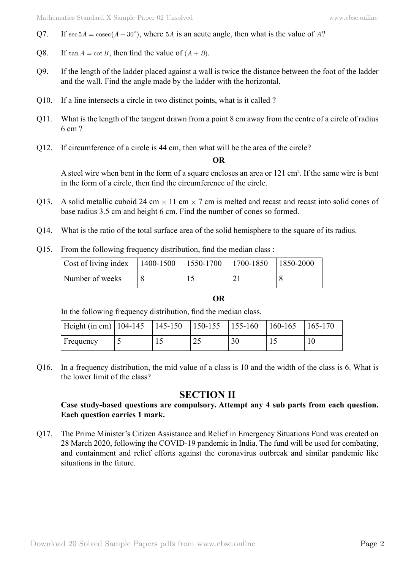- Q7. If  $\sec 5A = \csc(A + 30^{\circ})$ , where 5*A* is an acute angle, then what is the value of *A*?
- Q8. If  $\tan A = \cot B$ , then find the value of  $(A + B)$ .
- Q9. If the length of the ladder placed against a wall is twice the distance between the foot of the ladder and the wall. Find the angle made by the ladder with the horizontal.
- Q10. If a line intersects a circle in two distinct points, what is it called ?
- Q11. What is the length of the tangent drawn from a point 8 cm away from the centre of a circle of radius 6 cm ?
- Q12. If circumference of a circle is 44 cm, then what will be the area of the circle?

#### **O**

A steel wire when bent in the form of a square encloses an area or  $121 \text{ cm}^2$ . If the same wire is bent in the form of a circle, then find the circumference of the circle.

- Q13. A solid metallic cuboid 24 cm  $\times$  11 cm  $\times$  7 cm is melted and recast and recast into solid cones of base radius 3.5 cm and height 6 cm. Find the number of cones so formed.
- Q14. What is the ratio of the total surface area of the solid hemisphere to the square of its radius.
- Q15. From the following frequency distribution, find the median class :

| Cost of living index   1400-1500   1550-1700   1700-1850   1850-2000 |  |  |
|----------------------------------------------------------------------|--|--|
| Number of weeks                                                      |  |  |

#### **O**

In the following frequency distribution, find the median class.

| Height (in cm)   104-145   145-150   150-155   155-160   160-165 |     |     |    | $165-170$ |
|------------------------------------------------------------------|-----|-----|----|-----------|
| Frequency                                                        | ⊥ ~ | ر ب | 30 |           |

Q16. In a frequency distribution, the mid value of a class is 10 and the width of the class is 6. What is the lower limit of the class?

## **Section II**

#### **Case study-based questions are compulsory. Attempt any 4 sub parts from each question. Each question carries 1 mark.**

Q17. The Prime Minister's Citizen Assistance and Relief in Emergency Situations Fund was created on 28 March 2020, following the COVID-19 pandemic in India. The fund will be used for combating, and containment and relief efforts against the coronavirus outbreak and similar pandemic like situations in the future.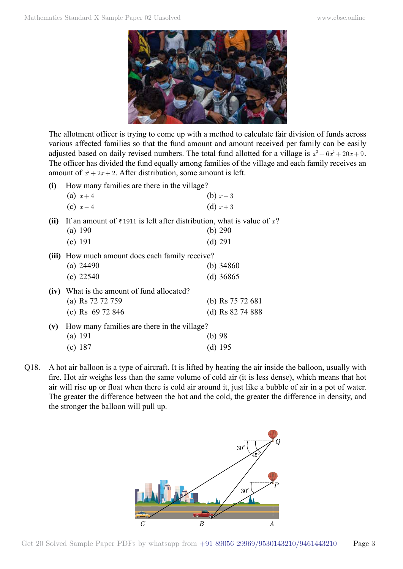

The allotment officer is trying to come up with a method to calculate fair division of funds across various affected families so that the fund amount and amount received per family can be easily adjusted based on daily revised numbers. The total fund allotted for a village is  $x^3 + 6x^2 + 20x + 9$ . The officer has divided the fund equally among families of the village and each family receives an amount of  $x^2 + 2x + 2$ . After distribution, some amount is left.

| (i) | How many families are there in the village? |                                                                                                     |
|-----|---------------------------------------------|-----------------------------------------------------------------------------------------------------|
|     | (a) $x+4$                                   | (b) $x-3$                                                                                           |
|     | (c) $x-4$                                   | (d) $x+3$                                                                                           |
|     | (a) $190$                                   | (ii) If an amount of $\bar{\tau}$ 1911 is left after distribution, what is value of x?<br>(b) $290$ |

- (c) 191 (d) 291
- **(iii)** How much amount does each family receive? (a) 24490 (b) 34860 (c) 22540 (d) 36865 **(iv)** What is the amount of fund allocated? (a) Rs 72 72 759 (b) Rs 75 72 681
	- (c) Rs 69 72 846 (d) Rs 82 74 888
- **(v)** How many families are there in the village? (a) 191 (b) 98 (c) 187 (d) 195
- Q18. A hot air balloon is a type of aircraft. It is lifted by heating the air inside the balloon, usually with fire. Hot air weighs less than the same volume of cold air (it is less dense), which means that hot air will rise up or float when there is cold air around it, just like a bubble of air in a pot of water. The greater the difference between the hot and the cold, the greater the difference in density, and the stronger the balloon will pull up.

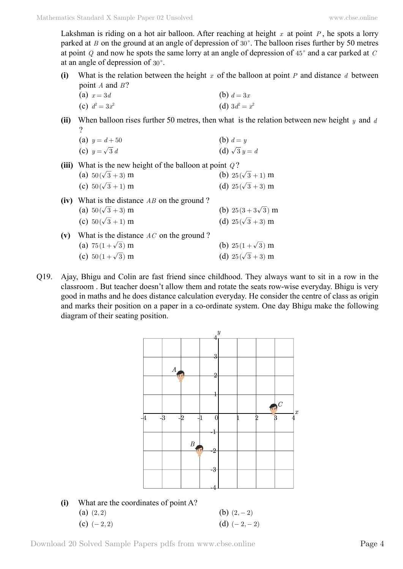Lakshman is riding on a hot air balloon. After reaching at height  $x$  at point  $P$ , he spots a lorry parked at *B* on the ground at an angle of depression of  $30^\circ$ . The balloon rises further by 50 metres at point *Q* and now he spots the same lorry at an angle of depression of 45° and a car parked at *C* at an angle of depression of  $30^\circ$ .

**(i)** What is the relation between the height *x* of the balloon at point *P* and distance *d* between point *A* and *B* ?

(a) 
$$
x = 3d
$$
   
 (b)  $d = 3x$ 

- (c)  $d^2 = 3x^2$  (d)  $3d^2 = x^2$
- **(ii)** When balloon rises further 50 metres, then what is the relation between new height *y* and *d* ?
	- (a)  $y = d + 50$  (b)  $d = y$ (c)  $y = \sqrt{3} d$  (d)  $\sqrt{3} y = d$
- **(iii)** What is the new height of the balloon at point *Q* ?

| (a) $50(\sqrt{3} + 3)$ m                                                                          | (b) $25(\sqrt{3}+1)$ m         |
|---------------------------------------------------------------------------------------------------|--------------------------------|
| $\left( \Delta$ $\mathbf{v}$ $\alpha$ $\left( \Delta$ $\mathbf{v}$ $\alpha$ $\mathbf{v}$ $\alpha$ | $(1)$ as $(\sqrt{2} + \alpha)$ |

(c)  $50(\sqrt{3} + 1)$  m (d)  $25(\sqrt{3} + 3)$  m

|     | (iv) What is the distance $AB$ on the ground? |                         |
|-----|-----------------------------------------------|-------------------------|
|     | (a) $50(\sqrt{3} + 3)$ m                      | (b) $25(3+3\sqrt{3})$ m |
|     | (c) $50(\sqrt{3}+1)$ m                        | (d) $25(\sqrt{3}+3)$ m  |
| (v) | What is the distance $AC$ on the ground?      |                         |
|     | (a) $75(1+\sqrt{3})$ m                        | (b) $25(1+\sqrt{3})$ m  |
|     | (c) $50(1+\sqrt{3})$ m                        | (d) $25(\sqrt{3}+3)$ m  |

Q19. Ajay, Bhigu and Colin are fast friend since childhood. They always want to sit in a row in the classroom . But teacher doesn't allow them and rotate the seats row-wise everyday. Bhigu is very good in maths and he does distance calculation everyday. He consider the centre of class as origin and marks their position on a paper in a co-ordinate system. One day Bhigu make the following diagram of their seating position.



Download 20 Solved Sample Papers pdfs from [www.cbse.online](http://www.cbse.online) Page 4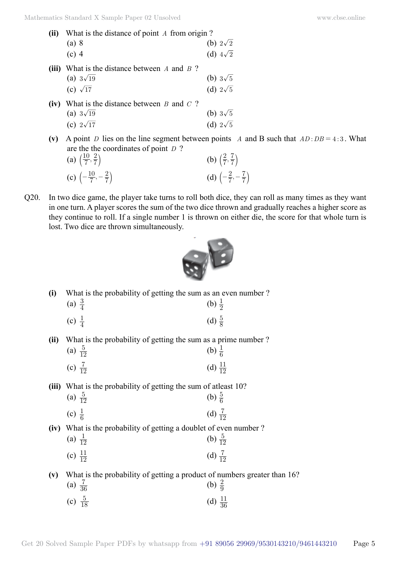| (ii)  | What is the distance of point A from origin? |  |                 |
|-------|----------------------------------------------|--|-----------------|
|       | (a) 8                                        |  | (b) $2\sqrt{2}$ |
|       | $(c)$ 4                                      |  | (d) $4\sqrt{2}$ |
| (iii) | What is the distance between $A$ and $B$ ?   |  |                 |
|       | (a) $3\sqrt{19}$                             |  | (b) $3\sqrt{5}$ |
|       | (c) $\sqrt{17}$                              |  | (d) $2\sqrt{5}$ |
| (iv)  | What is the distance between $B$ and $C$ ?   |  |                 |
|       | (a) $3\sqrt{19}$                             |  | (b) $3\sqrt{5}$ |
|       | (c) $2\sqrt{17}$                             |  | (d) $2\sqrt{5}$ |

(v) A point *D* lies on the line segment between points *A* and B such that  $AD : DB = 4 : 3$ . What are the the coordinates of point *D* ?

| (a) $\left(\frac{10}{7}, \frac{2}{7}\right)$   | (b) $\left(\frac{2}{7},\frac{7}{7}\right)$    |
|------------------------------------------------|-----------------------------------------------|
| (c) $\left(-\frac{10}{7}, -\frac{2}{7}\right)$ | (d) $\left(-\frac{2}{7}, -\frac{7}{7}\right)$ |

Q20. In two dice game, the player take turns to roll both dice, they can roll as many times as they want in one turn. A player scores the sum of the two dice thrown and gradually reaches a higher score as they continue to roll. If a single number 1 is thrown on either die, the score for that whole turn is lost. Two dice are thrown simultaneously.



| (i) |                   | What is the probability of getting the sum as an even number? |
|-----|-------------------|---------------------------------------------------------------|
|     | (a) $\frac{3}{4}$ | (b) $\frac{1}{2}$                                             |
|     | (c) $\frac{1}{4}$ | (d) $\frac{5}{8}$                                             |

**(ii)** What is the probability of getting the sum as a prime number ?

| (a) $\frac{5}{12}$ | (b) $\frac{1}{6}$   |
|--------------------|---------------------|
| (c) $\frac{7}{12}$ | (d) $\frac{11}{12}$ |

**(iii)** What is the probability of getting the sum of atleast 10?  $(a)$  5  $4 \times 5$ 

| (a) $\frac{5}{12}$ | (b) $\frac{5}{6}$  |
|--------------------|--------------------|
| (c) $\frac{1}{6}$  | (d) $\frac{7}{12}$ |

**(iv)** What is the probability of getting a doublet of even number ?

| (a) $\frac{1}{12}$  | (b) $\frac{5}{12}$ |
|---------------------|--------------------|
| (c) $\frac{11}{12}$ | (d) $\frac{7}{12}$ |

#### **(v)** What is the probability of getting a product of numbers greater than 16? (a)  $\frac{7}{36}$  $rac{7}{36}$  (b)  $rac{2}{9}$ (c)  $\frac{5}{18}$  $\frac{5}{18}$  (d)  $\frac{11}{36}$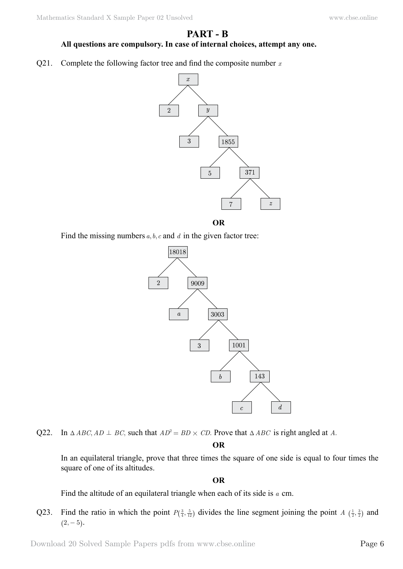## **Part - B All questions are compulsory. In case of internal choices, attempt any one.**

Q21. Complete the following factor tree and find the composite number *x*



 **O**

Find the missing numbers  $a, b, c$  and  $d$  in the given factor tree:



Q22. In  $\triangle ABC$ ,  $AD \perp BC$ , such that  $AD^2 = BD \times CD$ . Prove that  $\triangle ABC$  is right angled at *A*.

 **O**

In an equilateral triangle, prove that three times the square of one side is equal to four times the square of one of its altitudes.

 **O**

Find the altitude of an equilateral triangle when each of its side is *a* cm.

Q23. Find the ratio in which the point  $P(\frac{3}{4}, \frac{5}{12})$  divides the line segment joining the point *A*  $(\frac{1}{2}, \frac{3}{2})$  and  $(2, -5)$ .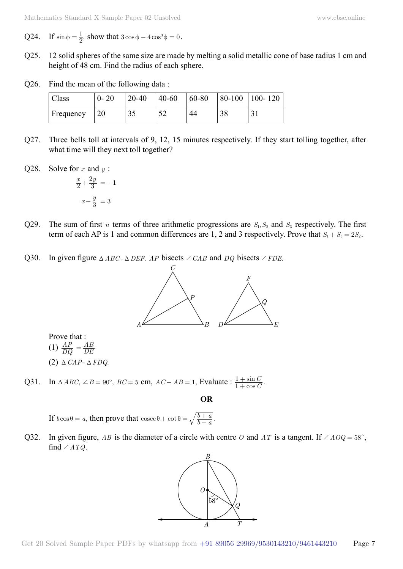- Q24. If  $\sin \phi = \frac{1}{2}$ , show that  $3 \cos \phi 4 \cos^3 \phi = 0$ .
- Q25. 12 solid spheres of the same size are made by melting a solid metallic cone of base radius 1 cm and height of 48 cm. Find the radius of each sphere.
- Q26. Find the mean of the following data :

| Class            | $0 - 20$ | 20-40 | $40 - 60$         | 60-80 | $ 80-100 100-120$ |
|------------------|----------|-------|-------------------|-------|-------------------|
| <b>Frequency</b> | 20       | ں ر   | $\epsilon$ $\sim$ |       |                   |

- Q27. Three bells toll at intervals of 9, 12, 15 minutes respectively. If they start tolling together, after what time will they next toll together?
- Q28. Solve for *x* and *y* :

$$
\frac{x}{2} + \frac{2y}{3} = -1
$$

$$
x - \frac{y}{3} = 3
$$

- Q29. The sum of first *n* terms of three arithmetic progressions are  $S_1, S_2$  and  $S_3$  respectively. The first term of each AP is 1 and common differences are 1, 2 and 3 respectively. Prove that  $S_1 + S_3 = 2S_2$ .
- Q30. In given figure  $\triangle ABC \triangle DEF$ . *AP* bisects  $\angle CAB$  and *DQ* bisects  $\angle FDE$ .



Prove that :  $(1)$   $\frac{AP}{DQ}$  $\frac{AB}{DE}$  $(2) \triangle CAP \sim \triangle FDQ$ .

Q31. In  $\triangle ABC$ ,  $\angle B = 90^{\circ}$ ,  $BC = 5$  cm,  $AC - AB = 1$ , Evaluate :  $\frac{1 + \sin C}{1 + \cos C}$ . *C C* 1 1  $^{+}$  $^{+}$ 

 **O**

If  $b\cos\theta = a$ , then prove that  $\csc\theta + \cot\theta = \sqrt{\frac{b+a}{b-a}}$ .

Q32. In given figure, *AB* is the diameter of a circle with centre *O* and *AT* is a tangent. If  $\angle A O Q = 58^\circ$ , find  $\angle A TQ$ .